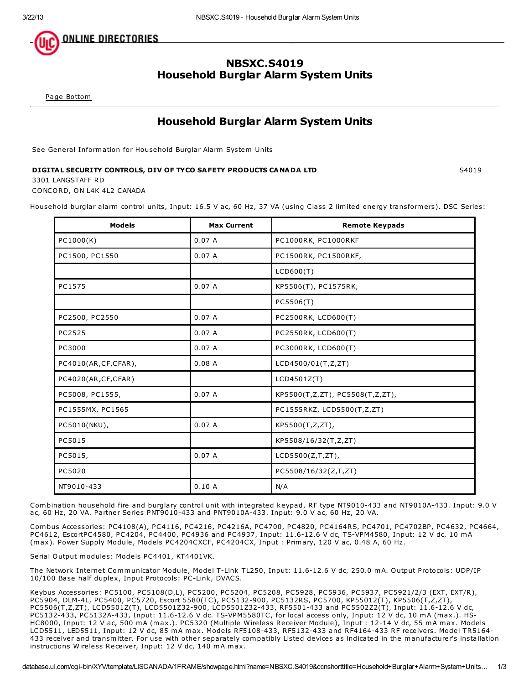

# NBSXC.S4019 Household Burglar Alarm System Units

Page [Bottom](http://database.ul.com/cgi-bin/XYV/template/LISCANADA/1FRAME/showpage.html?name=NBSXC.S4019&ccnshorttitle=Household+Burglar+Alarm+System+Units&objid=1076815813&cfgid=1073741824&version=versionless&parent_id=1076402716&sequence=1#PAGEBOTTOM)

# Household Burglar Alarm System Units

See General [Information](http://database.ul.com/cgi-bin/XYV/template/LISCANADA/1FRAME/showpage.html?&name=NBSXC.GuideInfo&ccnshorttitle=Household+Burglar+Alarm+System+Units&objid=1076402717&cfgid=1073741824&version=versionless&parent_id=1076402716&sequence=1) for Household Burglar Alarm System Units

## DIGITAL SECURITY CONTROLS, DIV OF TYCO SAFETY PRODUCTS CANADA LTD SANDIS SAND SAO19

3301 LANGSTAFF RD

CONCORD, ON L4K 4L2 CANADA

Household burglar alarm control units, Input: 16.5 V ac, 60 Hz, 37 VA (using Class 2 limited energy transformers). DSC Series:

| <b>Models</b>        | <b>Max Current</b> | <b>Remote Keypads</b>           |
|----------------------|--------------------|---------------------------------|
| PC1000(K)            | 0.07A              | PC1000RK, PC1000RKF             |
| PC1500, PC1550       | 0.07A              | PC1500RK, PC1500RKF,            |
|                      |                    | LCD600(T)                       |
| PC1575               | 0.07A              | KP5506(T), PC1575RK,            |
|                      |                    | PC5506(T)                       |
| PC2500, PC2550       | 0.07A              | PC2500RK, LCD600(T)             |
| PC2525               | 0.07A              | PC2550RK, LCD600(T)             |
| PC3000               | 0.07A              | PC3000RK, LCD600(T)             |
| PC4010(AR,CF,CFAR),  | 0.08A              | LCD4500/01(T,Z,ZT)              |
| PC4020(AR, CF, CFAR) |                    | LCD4501Z(T)                     |
| PC5008, PC1555,      | 0.07A              | KP5500(T,Z,ZT), PC5508(T,Z,ZT), |
| PC1555MX, PC1565     |                    | PC1555RKZ, LCD5500(T,Z,ZT)      |
| PC5010(NKU),         | 0.07A              | KP5500(T,Z,ZT),                 |
| PC5015               |                    | KP5508/16/32(T,Z,ZT)            |
| PC5015,              | 0.07A              | LCD5500(Z,T,ZT),                |
| PC5020               |                    | PC5508/16/32(Z,T,ZT)            |
| NT9010-433           | 0.10A              | N/A                             |

Combination household fire and burglary control unit with integrated keypad, RF type NT9010-433 and NT9010A-433. Input: 9.0 V ac, 60 Hz, 20 VA. Partner Series PNT9010-433 and PNT9010A-433. Input: 9.0 V ac, 60 Hz, 20 VA.

Combus Accessories: PC4108(A), PC4116, PC4216, PC4216A, PC4700, PC4820, PC4164RS, PC4701, PC4702BP, PC4632, PC4664, PC4612, EscortPC4580, PC4204, PC4400, PC4936 and PC4937, Input: 11.6-12.6 V dc, TS-VPM4580, Input: 12 V dc, 10 mA (max). Power Supply Module, Models PC4204CXCF, PC4204CX, Input : Primary, 120 V ac, 0.48 A, 60 Hz.

Serial Output modules: Models PC4401, KT4401VK.

The Network Internet Communicator Module, Model T-Link TL250, Input: 11.6-12.6 V dc, 250.0 mA. Output Protocols: UDP/IP 10/100 Base half duplex, Input Protocols: PC-Link, DVACS.

Keybus Accessories: PC5100, PC5108(D,L), PC5200, PC5204, PC5208, PC5928, PC5936, PC5937, PC5921/2/3 (EXT, EXT/R), PC5904, DLM-4L, PC5400, PC5720, Escort 5580(TC), PC5132-900, PC5132RS, PC5700, KP55012(T), KP5506(T,Z,ZT), PC5506(T,Z,ZT), LCD5501Z(T), LCD5501Z32-900, LCD5501Z32-433, RF5501-433 and PC5502Z2(T), Input: 11.6-12.6 V dc, PC5132-433, PC5132A-433, Input: 11.6-12.6 V dc. TS-VPM5580TC, for local access only, Input: 12 V dc, 10 mA (max.). HS-HC8000, Input: 12 V ac, 500 mA (max.). PC5320 (Multiple Wireless Receiver Module), Input : 12-14 V dc, 55 mA max. Models LCD5511, LED5511, Input: 12 V dc, 85 mA max. Models RF5108-433, RF5132-433 and RF4164-433 RF receivers. Model TR5164- 433 receiver and transmitter. For use with other separately compatibly Listed devices as indicated in the manufacturer's installation instructions Wireless Receiver, Input: 12 V dc, 140 mA max.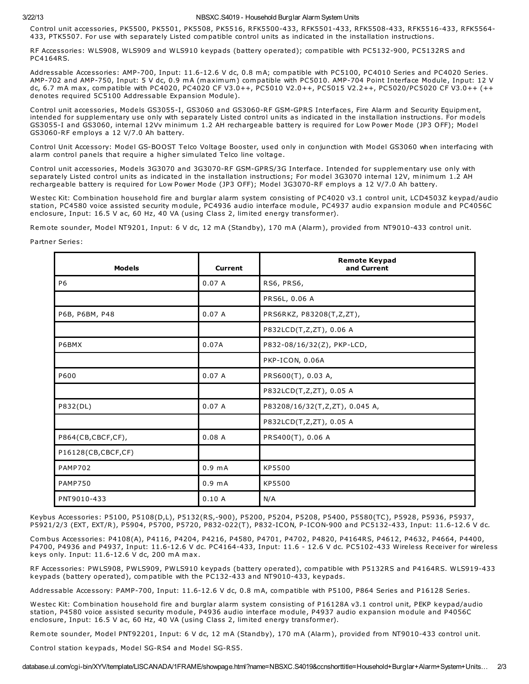#### 3/22/13 NBSXC.S4019 - Household Burglar Alarm System Units

Control unit accessories, PK5500, PK5501, PK5508, PK5516, RFK5500-433, RFK5501-433, RFK5508-433, RFK5516-433, RFK5564- 433, PTK5507. For use with separately Listed compatible control units as indicated in the installation instructions.

RF Accessories: WLS908, WLS909 and WLS910 keypads (battery operated); compatible with PC5132-900, PC5132RS and PC4164RS.

Addressable Accessories: AMP-700, Input: 11.6-12.6 V dc, 0.8 mA; compatible with PC5100, PC4010 Series and PC4020 Series. AMP-702 and AMP-750, Input: 5 V dc, 0.9 mA (maximum) compatible with PC5010. AMP-704 Point Interface Module, Input: 12 V dc, 6.7 mA max, compatible with PC4020, PC4020 CF V3.0++, PC5010 V2.0++, PC5015 V2.2++, PC5020/PC5020 CF V3.0++ (++ denotes required 5C5100 Addressable Expansion Module).

Control unit accessories, Models GS3055-I, GS3060 and GS3060-RF GSM-GPRS Interfaces, Fire Alarm and Security Equipment, intended for supplementary use only with separately Listed control units as indicated in the installation instructions. For models GS3055-I and GS3060, internal 12Vv minimum 1.2 AH rechargeable battery is required for Low Power Mode (JP3 OFF); Model GS3060-RF employs a 12 V/7.0 Ah battery.

Control Unit Accessory: Model GS-BOOST Telco Voltage Booster, used only in conjunction with Model GS3060 when interfacing with alarm control panels that require a higher simulated Telco line voltage.

Control unit accessories, Models 3G3070 and 3G3070-RF GSM-GPRS/3G Interface. Intended for supplementary use only with separately Listed control units as indicated in the installation instructions; For model 3G3070 internal 12V, minimum 1.2 AH rechargeable battery is required for Low Power Mode (JP3 OFF); Model 3G3070-RF employs a 12 V/7.0 Ah battery.

Westec Kit: Combination household fire and burglar alarm system consisting of PC4020 v3.1 control unit, LCD4503Z keypad/audio station, PC4580 voice assisted security module, PC4936 audio interface module, PC4937 audio expansion module and PC4056C enclosure, Input: 16.5 V ac, 60 Hz, 40 VA (using Class 2, limited energy transformer).

Remote sounder, Model NT9201, Input: 6 V dc, 12 mA (Standby), 170 mA (Alarm), provided from NT9010-433 control unit.

### Partner Series:

| <b>Models</b>      | <b>Current</b>     | <b>Remote Keypad</b><br>and Current |
|--------------------|--------------------|-------------------------------------|
| P <sub>6</sub>     | 0.07A              | RS6, PRS6,                          |
|                    |                    | PRS6L, 0.06 A                       |
| P6B, P6BM, P48     | 0.07A              | PRS6RKZ, P83208(T,Z,ZT),            |
|                    |                    | P832LCD(T,Z,ZT), 0.06 A             |
| P6BMX              | 0.07A              | P832-08/16/32(Z), PKP-LCD,          |
|                    |                    | PKP-ICON, 0.06A                     |
| P600               | 0.07A              | PRS600(T), 0.03 A,                  |
|                    |                    | P832LCD(T,Z,ZT), 0.05 A             |
| P832(DL)           | 0.07A              | P83208/16/32(T,Z,ZT), 0.045 A,      |
|                    |                    | P832LCD(T,Z,ZT), 0.05 A             |
| P864(CB,CBCF,CF),  | 0.08A              | PRS400(T), 0.06 A                   |
| P16128(CB,CBCF,CF) |                    |                                     |
| <b>PAMP702</b>     | 0.9 <sub>m</sub> A | KP5500                              |
| <b>PAMP750</b>     | 0.9 <sub>m</sub> A | KP5500                              |
| PNT9010-433        | 0.10A              | N/A                                 |

Keybus Accessories: P5100, P5108(D,L), P5132(RS,-900), P5200, P5204, P5208, P5400, P5580(TC), P5928, P5936, P5937, P5921/2/3 (EXT, EXT/R), P5904, P5700, P5720, P832-022(T), P832-ICON, P-ICON-900 and PC5132-433, Input: 11.6-12.6 V dc.

Combus Accessories: P4108(A), P4116, P4204, P4216, P4580, P4701, P4702, P4820, P4164RS, P4612, P4632, P4664, P4400, P4700, P4936 and P4937, Input: 11.6-12.6 V dc. PC4164-433, Input: 11.6 - 12.6 V dc. PC5102-433 Wireless Receiver for wireless keys only. Input: 11.6-12.6 V dc, 200 mA max.

RF Accessories: PWLS908, PWLS909, PWLS910 keypads (battery operated), compatible with P5132RS and P4164RS. WLS919-433 keypads (battery operated), compatible with the PC132-433 and NT9010-433, keypads.

Addressable Accessory: PAMP-700, Input: 11.6-12.6 V dc, 0.8 mA, compatible with P5100, P864 Series and P16128 Series.

Westec Kit: Combination household fire and burglar alarm system consisting of P16128A v3.1 control unit, PEKP keypad/audio station, P4580 voice assisted security module, P4936 audio interface module, P4937 audio expansion module and P4056C enclosure, Input: 16.5 V ac, 60 Hz, 40 VA (using Class 2, limited energy transformer).

Remote sounder, Model PNT92201, Input: 6 V dc, 12 mA (Standby), 170 mA (Alarm), provided from NT9010-433 control unit.

Control station keypads, Model SG-RS4 and Model SG-RS5.